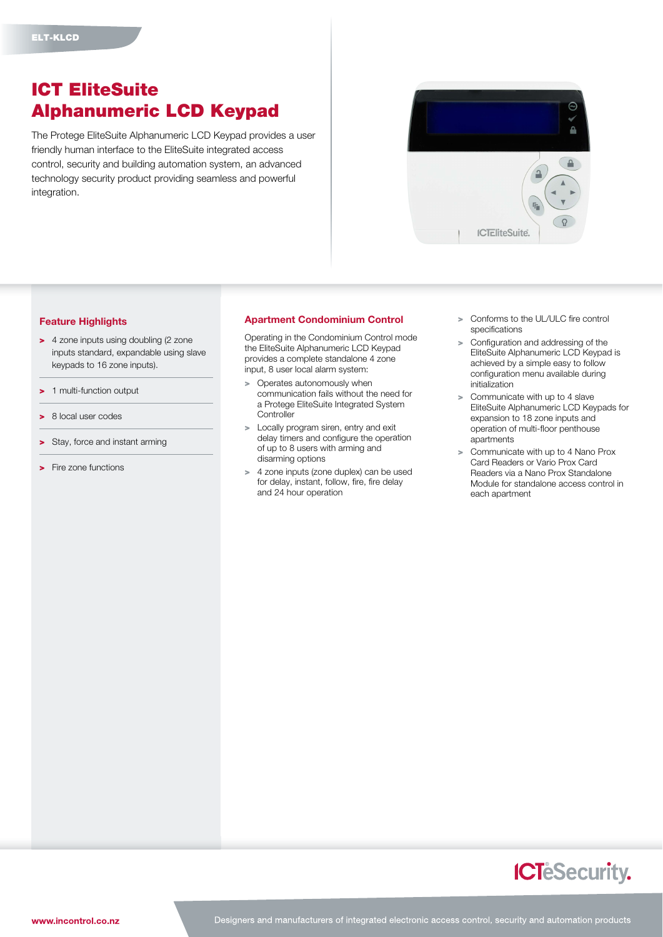## ICT EliteSuite Alphanumeric LCD Keypad

The Protege EliteSuite Alphanumeric LCD Keypad provides a user friendly human interface to the EliteSuite integrated access control, security and building automation system, an advanced technology security product providing seamless and powerful integration.



## Feature Highlights

- > 4 zone inputs using doubling (2 zone inputs standard, expandable using slave keypads to 16 zone inputs).
- > 1 multi-function output
- > 8 local user codes
- > Stay, force and instant arming
- > Fire zone functions

## Apartment Condominium Control

Operating in the Condominium Control mode the EliteSuite Alphanumeric LCD Keypad provides a complete standalone 4 zone input, 8 user local alarm system:

- > Operates autonomously when communication fails without the need for a Protege EliteSuite Integrated System **Controller**
- > Locally program siren, entry and exit delay timers and configure the operation of up to 8 users with arming and disarming options
- > 4 zone inputs (zone duplex) can be used for delay, instant, follow, fire, fire delay and 24 hour operation
- > Conforms to the UL/ULC fire control specifications
- Configuration and addressing of the EliteSuite Alphanumeric LCD Keypad is achieved by a simple easy to follow configuration menu available during initialization
- > Communicate with up to 4 slave EliteSuite Alphanumeric LCD Keypads for expansion to 18 zone inputs and operation of multi-floor penthouse apartments
- > Communicate with up to 4 Nano Prox Card Readers or Vario Prox Card Readers via a Nano Prox Standalone Module for standalone access control in each apartment